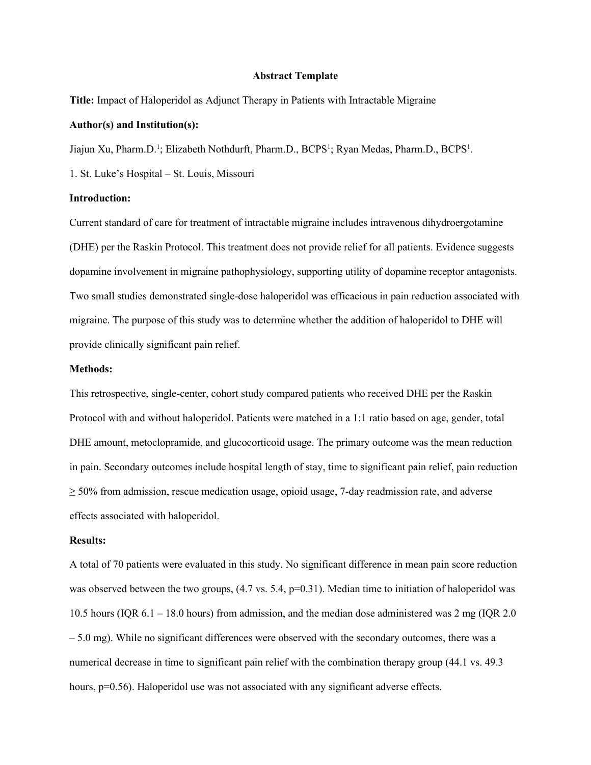#### **Abstract Template**

**Title:** Impact of Haloperidol as Adjunct Therapy in Patients with Intractable Migraine

### **Author(s) and Institution(s):**

Jiajun Xu, Pharm.D.<sup>1</sup>; Elizabeth Nothdurft, Pharm.D., BCPS<sup>1</sup>; Ryan Medas, Pharm.D., BCPS<sup>1</sup>.

1. St. Luke's Hospital – St. Louis, Missouri

#### **Introduction:**

Current standard of care for treatment of intractable migraine includes intravenous dihydroergotamine (DHE) per the Raskin Protocol. This treatment does not provide relief for all patients. Evidence suggests dopamine involvement in migraine pathophysiology, supporting utility of dopamine receptor antagonists. Two small studies demonstrated single-dose haloperidol was efficacious in pain reduction associated with migraine. The purpose of this study was to determine whether the addition of haloperidol to DHE will provide clinically significant pain relief.

#### **Methods:**

This retrospective, single-center, cohort study compared patients who received DHE per the Raskin Protocol with and without haloperidol. Patients were matched in a 1:1 ratio based on age, gender, total DHE amount, metoclopramide, and glucocorticoid usage. The primary outcome was the mean reduction in pain. Secondary outcomes include hospital length of stay, time to significant pain relief, pain reduction  $\geq$  50% from admission, rescue medication usage, opioid usage, 7-day readmission rate, and adverse effects associated with haloperidol.

## **Results:**

A total of 70 patients were evaluated in this study. No significant difference in mean pain score reduction was observed between the two groups, (4.7 vs. 5.4, p=0.31). Median time to initiation of haloperidol was 10.5 hours (IQR 6.1 – 18.0 hours) from admission, and the median dose administered was 2 mg (IQR 2.0  $-5.0$  mg). While no significant differences were observed with the secondary outcomes, there was a numerical decrease in time to significant pain relief with the combination therapy group (44.1 vs. 49.3 hours,  $p=0.56$ ). Haloperidol use was not associated with any significant adverse effects.